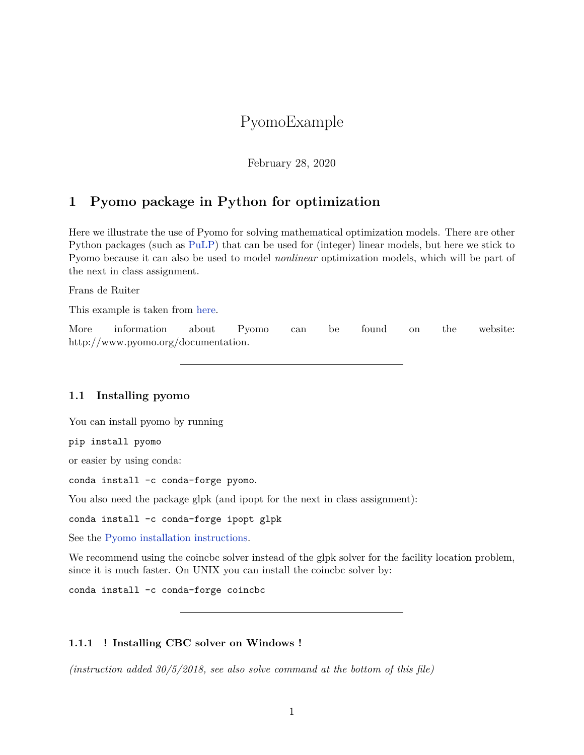# PyomoExample

February 28, 2020

# **1 Pyomo package in Python for optimization**

Here we illustrate the use of Pyomo for solving mathematical optimization models. There are other Python packages (such as [PuLP](https://pythonhosted.org/PuLP/)) that can be used for (integer) linear models, but here we stick to Pyomo because it can also be used to model *nonlinear* optimization models, which will be part of the next in class assignment.

Frans de Ruiter

This example is taken from [here](http://pyomocontrib-simplemodel.readthedocs.io/en/latest/knapsack.html#knapsack-problem).

More information about Pyomo can be found on the website: http://www.pyomo.org/documentation.

### **1.1 Installing pyomo**

You can install pyomo by running

pip install pyomo

or easier by using conda:

conda install -c conda-forge pyomo.

You also need the package glpk (and ipopt for the next in class assignment):

conda install -c conda-forge ipopt glpk

See the [Pyomo installation instructions.](http://pyomo.readthedocs.io/en/latest/getting_started/index.html)

We recommend using the coincbc solver instead of the glpk solver for the facility location problem, since it is much faster. On UNIX you can install the coincbc solver by:

conda install -c conda-forge coincbc

#### **1.1.1 ! Installing CBC solver on Windows !**

*(instruction added 30/5/2018, see also solve command at the bottom of this file)*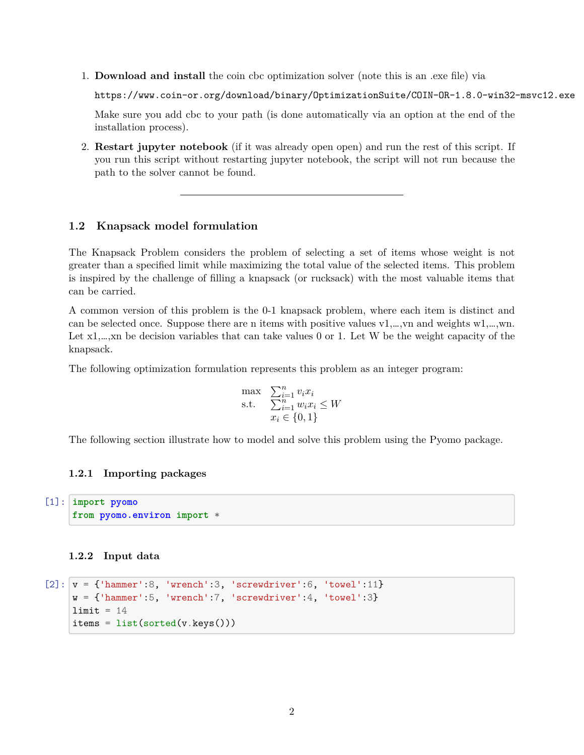1. **Download and install** the coin cbc optimization solver (note this is an .exe file) via

https://www.coin-or.org/download/binary/OptimizationSuite/COIN-OR-1.8.0-win32-msvc12.exe

Make sure you add cbc to your path (is done automatically via an option at the end of the installation process).

2. **Restart jupyter notebook** (if it was already open open) and run the rest of this script. If you run this script without restarting jupyter notebook, the script will not run because the path to the solver cannot be found.

### **1.2 Knapsack model formulation**

The Knapsack Problem considers the problem of selecting a set of items whose weight is not greater than a specified limit while maximizing the total value of the selected items. This problem is inspired by the challenge of filling a knapsack (or rucksack) with the most valuable items that can be carried.

A common version of this problem is the 0-1 knapsack problem, where each item is distinct and can be selected once. Suppose there are n items with positive values v1,…,vn and weights w1,…,wn. Let  $x_1,...,x_n$  be decision variables that can take values 0 or 1. Let W be the weight capacity of the knapsack.

The following optimization formulation represents this problem as an integer program:

$$
\begin{array}{ll}\n\max & \sum_{i=1}^{n} v_i x_i \\
\text{s.t.} & \sum_{i=1}^{n} w_i x_i \le W \\
x_i \in \{0, 1\}\n\end{array}
$$

The following section illustrate how to model and solve this problem using the Pyomo package.

#### **1.2.1 Importing packages**

```
[1]: import pyomo
     from pyomo.environ import *
```
#### **1.2.2 Input data**

```
[2]: v = {'hammer':8, 'wrench':3, 'screwdriver':6, 'towel':11}
     w = \{\text{'hammer':}5, \text{'vrench':}7, \text{'screwdriver':}4, \text{'towel':}3\}limit = 14items = list(sorted(v.keys())
```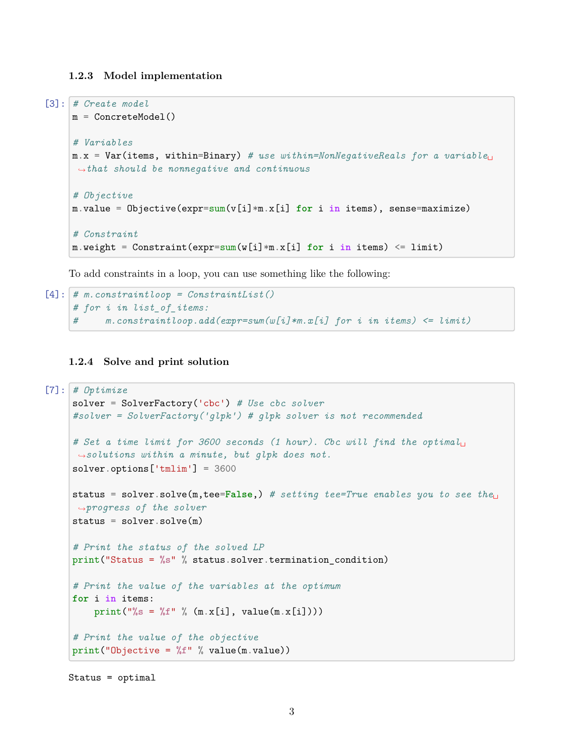#### **1.2.3 Model implementation**

```
[3]: # Create model
    m = ConcreteModel()
     # Variables
     m.x = Var(items, within=Binary) # use within=NonNegativeReals for a variable␣
     ,→that should be nonnegative and continuous
     # Objective
     m.value = Objective(expr=sum(v[i]*m.x[i] for i in items), sense=maximize)
     # Constraint
    m.weight = Constraint(expr=sum(w[i]*m.x[i] for i in items) <= limit)
```
To add constraints in a loop, you can use something like the following:

```
[4]: # m.constraintloop = ConstraintList()
     # for i in list_of_items:
          # m.constraintloop.add(expr=sum(w[i]*m.x[i] for i in items) <= limit)
```
## **1.2.4 Solve and print solution**

```
[7]: # Optimize
    solver = SolverFactory('cbc') # Use cbc solver
    #solver = SolverFactory('glpk') # glpk solver is not recommended
    # Set a time limit for 3600 seconds (1 hour). Cbc will find the optimal␣
     ,→solutions within a minute, but glpk does not.
    solver.options['tmlim'] = 3600
    status = solver.solve(m,tee=False,) # setting tee=True enables you to see the␣
     ,→progress of the solver
    status = solve(n)# Print the status of the solved LP
    print("Status = %s" % status.solver.termination_condition)
    # Print the value of the variables at the optimum
    for i in items:
        print("%s = %f" % (m.x[i], value(m.x[i])))
    # Print the value of the objective
    print("Objective = %f" % value(m.value))
```
Status = optimal